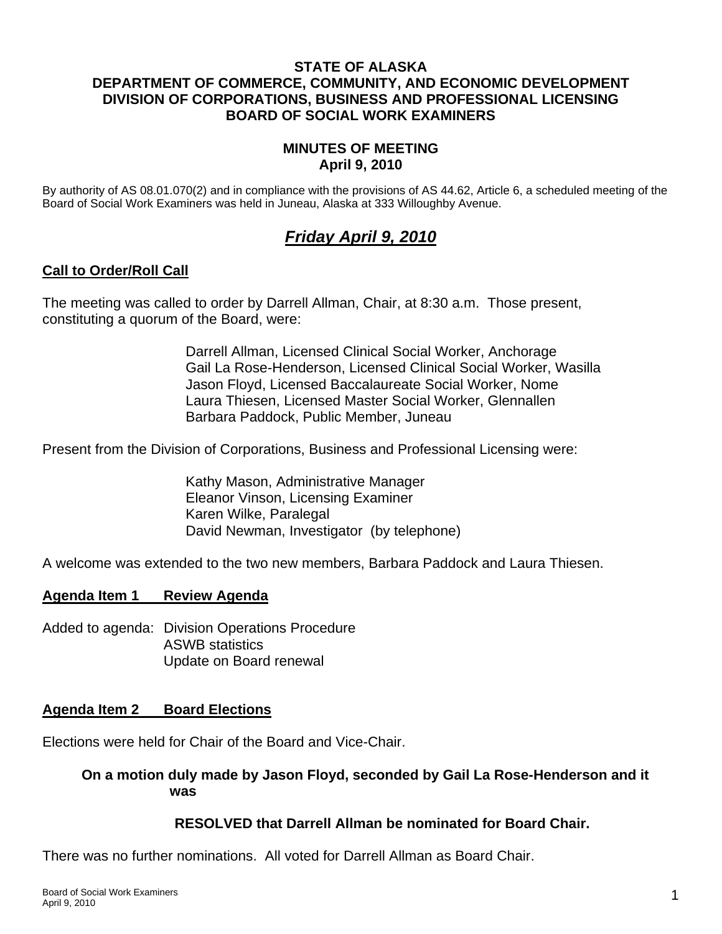## **STATE OF ALASKA DEPARTMENT OF COMMERCE, COMMUNITY, AND ECONOMIC DEVELOPMENT DIVISION OF CORPORATIONS, BUSINESS AND PROFESSIONAL LICENSING BOARD OF SOCIAL WORK EXAMINERS**

# **MINUTES OF MEETING April 9, 2010**

By authority of AS 08.01.070(2) and in compliance with the provisions of AS 44.62, Article 6, a scheduled meeting of the Board of Social Work Examiners was held in Juneau, Alaska at 333 Willoughby Avenue.

# *Friday April 9, 2010*

# **Call to Order/Roll Call**

The meeting was called to order by Darrell Allman, Chair, at 8:30 a.m. Those present, constituting a quorum of the Board, were:

> Darrell Allman, Licensed Clinical Social Worker, Anchorage Gail La Rose-Henderson, Licensed Clinical Social Worker, Wasilla Jason Floyd, Licensed Baccalaureate Social Worker, Nome Laura Thiesen, Licensed Master Social Worker, Glennallen Barbara Paddock, Public Member, Juneau

Present from the Division of Corporations, Business and Professional Licensing were:

 Kathy Mason, Administrative Manager Eleanor Vinson, Licensing Examiner Karen Wilke, Paralegal David Newman, Investigator (by telephone)

A welcome was extended to the two new members, Barbara Paddock and Laura Thiesen.

## **Agenda Item 1 Review Agenda**

Added to agenda: Division Operations Procedure ASWB statistics Update on Board renewal

## **Agenda Item 2 Board Elections**

Elections were held for Chair of the Board and Vice-Chair.

## **On a motion duly made by Jason Floyd, seconded by Gail La Rose-Henderson and it was**

## **RESOLVED that Darrell Allman be nominated for Board Chair.**

There was no further nominations. All voted for Darrell Allman as Board Chair.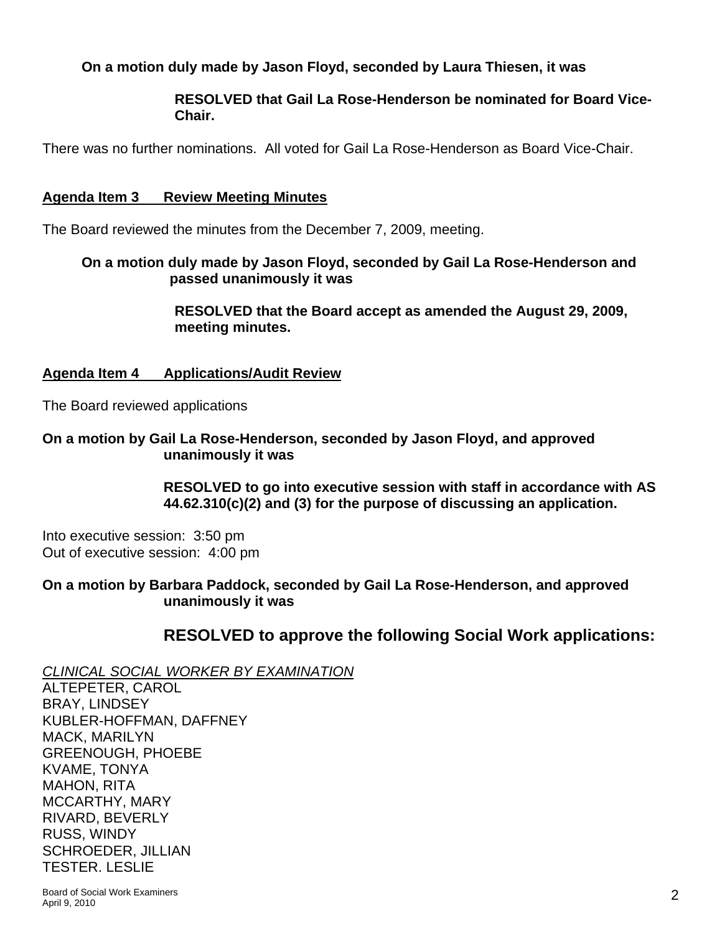# **On a motion duly made by Jason Floyd, seconded by Laura Thiesen, it was**

## **RESOLVED that Gail La Rose-Henderson be nominated for Board Vice-Chair.**

There was no further nominations. All voted for Gail La Rose-Henderson as Board Vice-Chair.

#### **Agenda Item 3 Review Meeting Minutes**

The Board reviewed the minutes from the December 7, 2009, meeting.

## **On a motion duly made by Jason Floyd, seconded by Gail La Rose-Henderson and passed unanimously it was**

 **RESOLVED that the Board accept as amended the August 29, 2009, meeting minutes.** 

## **Agenda Item 4 Applications/Audit Review**

The Board reviewed applications

#### **On a motion by Gail La Rose-Henderson, seconded by Jason Floyd, and approved unanimously it was**

 **RESOLVED to go into executive session with staff in accordance with AS 44.62.310(c)(2) and (3) for the purpose of discussing an application.** 

Into executive session: 3:50 pm Out of executive session: 4:00 pm

**On a motion by Barbara Paddock, seconded by Gail La Rose-Henderson, and approved unanimously it was** 

# **RESOLVED to approve the following Social Work applications:**

*CLINICAL SOCIAL WORKER BY EXAMINATION*

ALTEPETER, CAROL BRAY, LINDSEY KUBLER-HOFFMAN, DAFFNEY MACK, MARILYN GREENOUGH, PHOEBE KVAME, TONYA MAHON, RITA MCCARTHY, MARY RIVARD, BEVERLY RUSS, WINDY SCHROEDER, JILLIAN TESTER. LESLIE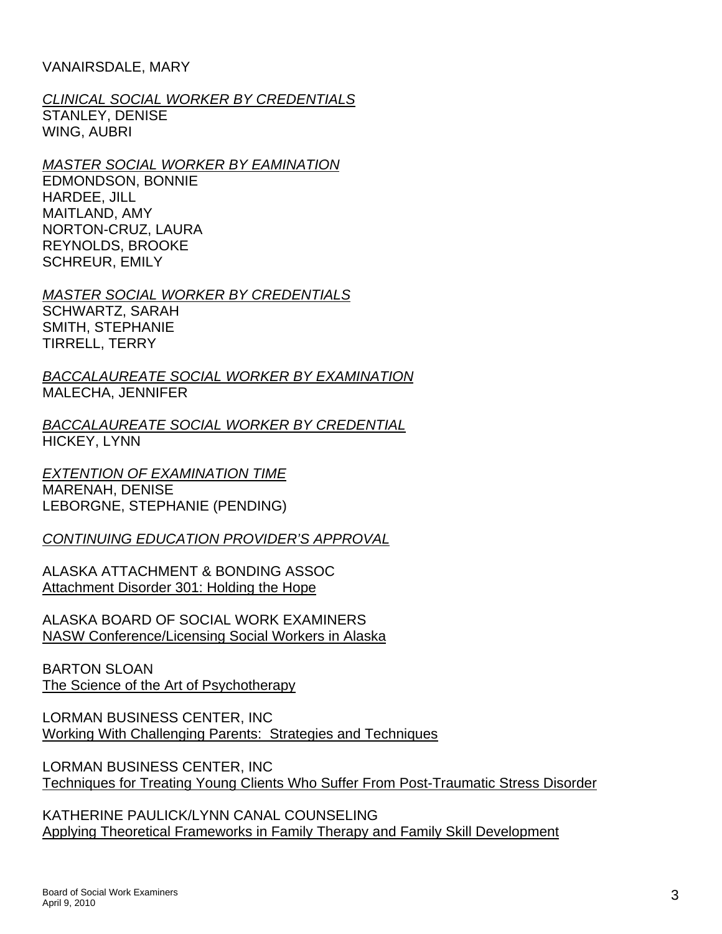#### VANAIRSDALE, MARY

#### *CLINICAL SOCIAL WORKER BY CREDENTIALS* STANLEY, DENISE WING, AUBRI

# *MASTER SOCIAL WORKER BY EAMINATION*

EDMONDSON, BONNIE HARDEE, JILL MAITLAND, AMY NORTON-CRUZ, LAURA REYNOLDS, BROOKE SCHREUR, EMILY

#### *MASTER SOCIAL WORKER BY CREDENTIALS*

SCHWARTZ, SARAH SMITH, STEPHANIE TIRRELL, TERRY

*BACCALAUREATE SOCIAL WORKER BY EXAMINATION* MALECHA, JENNIFER

*BACCALAUREATE SOCIAL WORKER BY CREDENTIAL* HICKEY, LYNN

#### *EXTENTION OF EXAMINATION TIME* MARENAH, DENISE LEBORGNE, STEPHANIE (PENDING)

## *CONTINUING EDUCATION PROVIDER'S APPROVAL*

ALASKA ATTACHMENT & BONDING ASSOC Attachment Disorder 301: Holding the Hope

ALASKA BOARD OF SOCIAL WORK EXAMINERS NASW Conference/Licensing Social Workers in Alaska

BARTON SLOAN The Science of the Art of Psychotherapy

LORMAN BUSINESS CENTER, INC Working With Challenging Parents: Strategies and Techniques

LORMAN BUSINESS CENTER, INC Techniques for Treating Young Clients Who Suffer From Post-Traumatic Stress Disorder

KATHERINE PAULICK/LYNN CANAL COUNSELING Applying Theoretical Frameworks in Family Therapy and Family Skill Development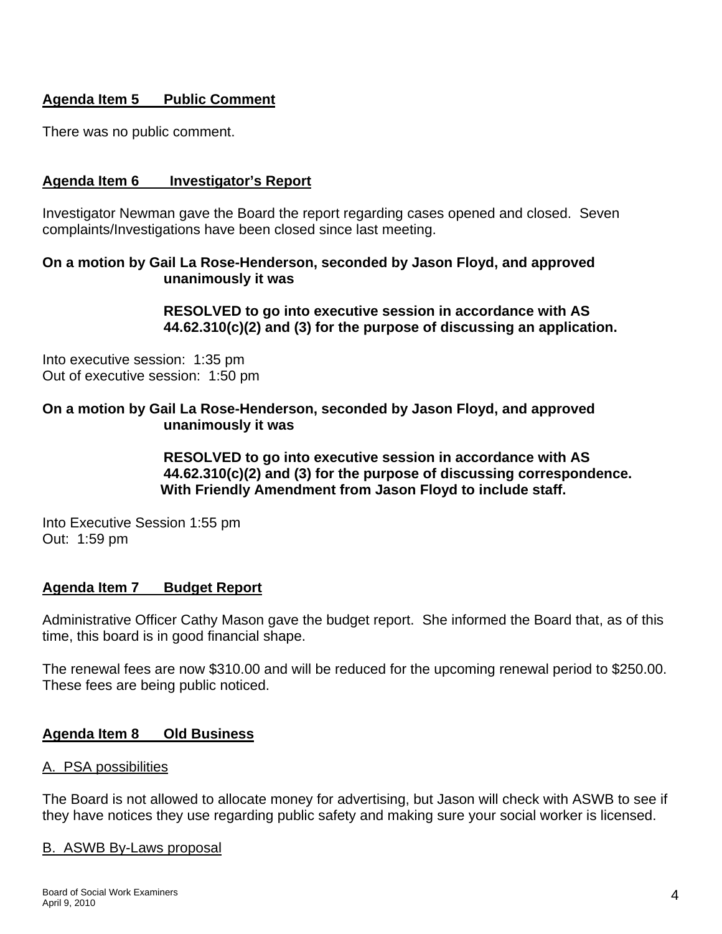# **Agenda Item 5 Public Comment**

There was no public comment.

## **Agenda Item 6 Investigator's Report**

Investigator Newman gave the Board the report regarding cases opened and closed. Seven complaints/Investigations have been closed since last meeting.

#### **On a motion by Gail La Rose-Henderson, seconded by Jason Floyd, and approved unanimously it was**

 **RESOLVED to go into executive session in accordance with AS 44.62.310(c)(2) and (3) for the purpose of discussing an application.** 

Into executive session: 1:35 pm Out of executive session: 1:50 pm

#### **On a motion by Gail La Rose-Henderson, seconded by Jason Floyd, and approved unanimously it was**

 **RESOLVED to go into executive session in accordance with AS 44.62.310(c)(2) and (3) for the purpose of discussing correspondence. With Friendly Amendment from Jason Floyd to include staff.** 

Into Executive Session 1:55 pm Out: 1:59 pm

## **Agenda Item 7 Budget Report**

Administrative Officer Cathy Mason gave the budget report. She informed the Board that, as of this time, this board is in good financial shape.

The renewal fees are now \$310.00 and will be reduced for the upcoming renewal period to \$250.00. These fees are being public noticed.

## **Agenda Item 8 Old Business**

#### A. PSA possibilities

The Board is not allowed to allocate money for advertising, but Jason will check with ASWB to see if they have notices they use regarding public safety and making sure your social worker is licensed.

#### B. ASWB By-Laws proposal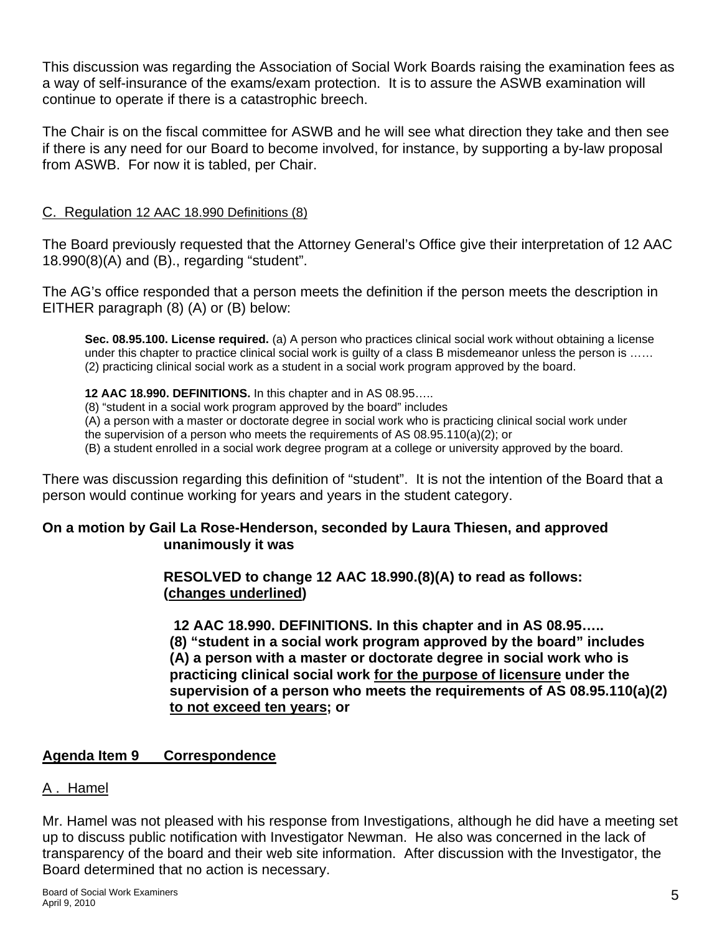This discussion was regarding the Association of Social Work Boards raising the examination fees as a way of self-insurance of the exams/exam protection. It is to assure the ASWB examination will continue to operate if there is a catastrophic breech.

The Chair is on the fiscal committee for ASWB and he will see what direction they take and then see if there is any need for our Board to become involved, for instance, by supporting a by-law proposal from ASWB. For now it is tabled, per Chair.

#### C. Regulation 12 AAC 18.990 Definitions (8)

The Board previously requested that the Attorney General's Office give their interpretation of 12 AAC 18.990(8)(A) and (B)., regarding "student".

The AG's office responded that a person meets the definition if the person meets the description in EITHER paragraph (8) (A) or (B) below:

**Sec. 08.95.100. License required.** (a) A person who practices clinical social work without obtaining a license under this chapter to practice clinical social work is quilty of a class B misdemeanor unless the person is ...... (2) practicing clinical social work as a student in a social work program approved by the board.

#### **12 AAC 18.990. DEFINITIONS.** In this chapter and in AS 08.95…..

(8) "student in a social work program approved by the board" includes

(A) a person with a master or doctorate degree in social work who is practicing clinical social work under

the supervision of a person who meets the requirements of AS 08.95.110(a)(2); or

(B) a student enrolled in a social work degree program at a college or university approved by the board.

There was discussion regarding this definition of "student". It is not the intention of the Board that a person would continue working for years and years in the student category.

## **On a motion by Gail La Rose-Henderson, seconded by Laura Thiesen, and approved unanimously it was**

#### **RESOLVED to change 12 AAC 18.990.(8)(A) to read as follows: (changes underlined)**

 **12 AAC 18.990. DEFINITIONS. In this chapter and in AS 08.95….. (8) "student in a social work program approved by the board" includes (A) a person with a master or doctorate degree in social work who is practicing clinical social work for the purpose of licensure under the supervision of a person who meets the requirements of AS 08.95.110(a)(2) to not exceed ten years; or** 

## **Agenda Item 9 Correspondence**

## A. Hamel

Mr. Hamel was not pleased with his response from Investigations, although he did have a meeting set up to discuss public notification with Investigator Newman. He also was concerned in the lack of transparency of the board and their web site information. After discussion with the Investigator, the Board determined that no action is necessary.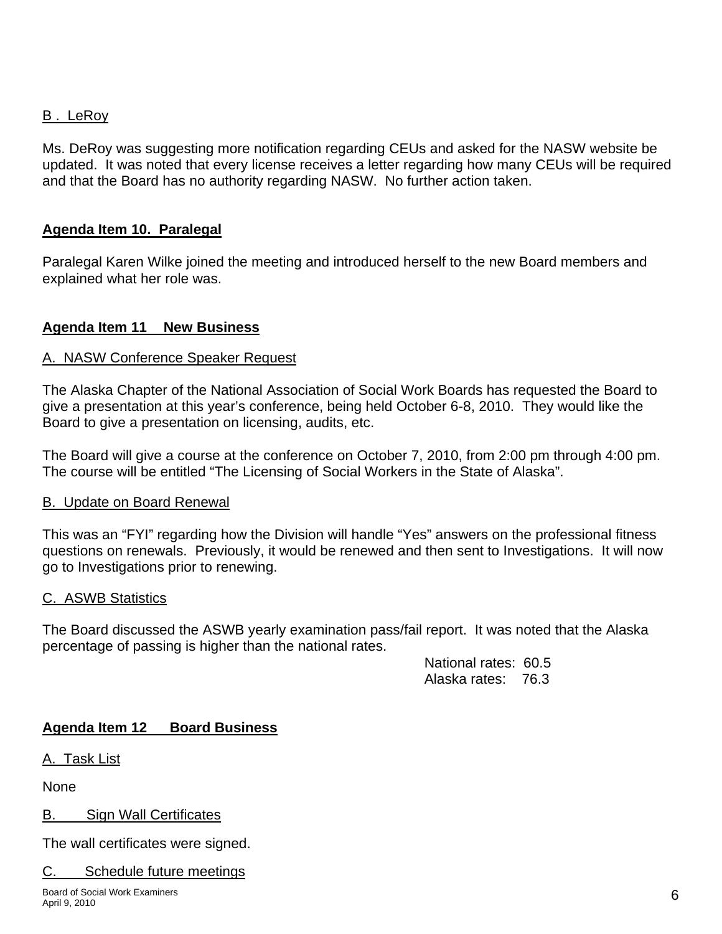# B . LeRoy

Ms. DeRoy was suggesting more notification regarding CEUs and asked for the NASW website be updated. It was noted that every license receives a letter regarding how many CEUs will be required and that the Board has no authority regarding NASW. No further action taken.

## **Agenda Item 10. Paralegal**

Paralegal Karen Wilke joined the meeting and introduced herself to the new Board members and explained what her role was.

# **Agenda Item 11 New Business**

# A. NASW Conference Speaker Request

The Alaska Chapter of the National Association of Social Work Boards has requested the Board to give a presentation at this year's conference, being held October 6-8, 2010. They would like the Board to give a presentation on licensing, audits, etc.

The Board will give a course at the conference on October 7, 2010, from 2:00 pm through 4:00 pm. The course will be entitled "The Licensing of Social Workers in the State of Alaska".

## B. Update on Board Renewal

This was an "FYI" regarding how the Division will handle "Yes" answers on the professional fitness questions on renewals. Previously, it would be renewed and then sent to Investigations. It will now go to Investigations prior to renewing.

## C. ASWB Statistics

The Board discussed the ASWB yearly examination pass/fail report. It was noted that the Alaska percentage of passing is higher than the national rates.

> National rates: 60.5 Alaska rates: 76.3

# **Agenda Item 12 Board Business**

A. Task List

None

B. Sign Wall Certificates

The wall certificates were signed.

## C. Schedule future meetings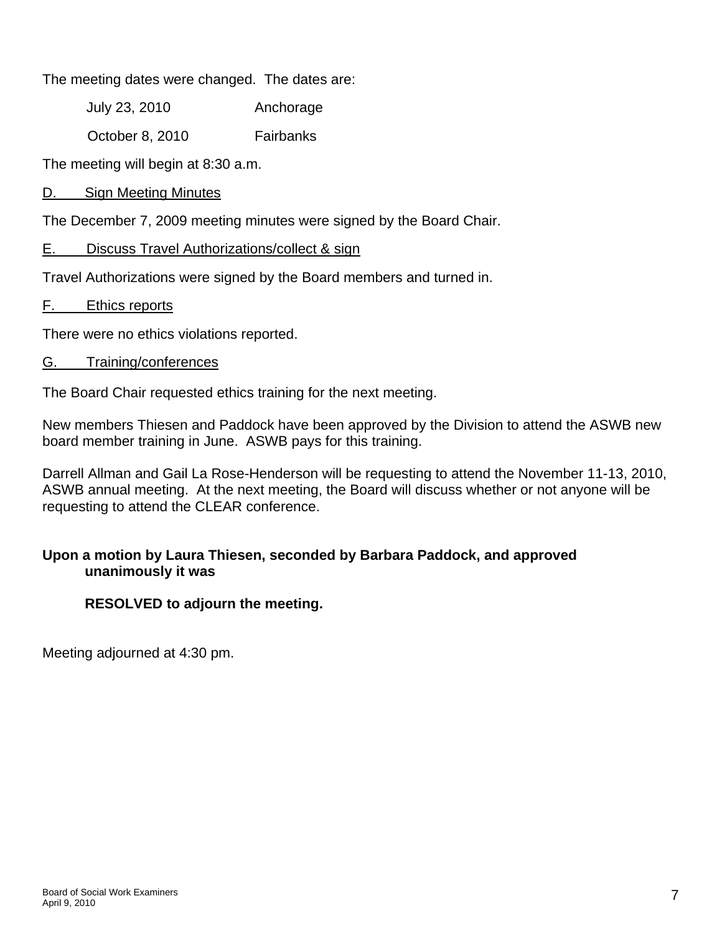The meeting dates were changed. The dates are:

July 23, 2010 Anchorage

October 8, 2010 Fairbanks

The meeting will begin at 8:30 a.m.

D. Sign Meeting Minutes

The December 7, 2009 meeting minutes were signed by the Board Chair.

# E. Discuss Travel Authorizations/collect & sign

Travel Authorizations were signed by the Board members and turned in.

F. Ethics reports

There were no ethics violations reported.

## G. Training/conferences

The Board Chair requested ethics training for the next meeting.

New members Thiesen and Paddock have been approved by the Division to attend the ASWB new board member training in June. ASWB pays for this training.

Darrell Allman and Gail La Rose-Henderson will be requesting to attend the November 11-13, 2010, ASWB annual meeting. At the next meeting, the Board will discuss whether or not anyone will be requesting to attend the CLEAR conference.

# **Upon a motion by Laura Thiesen, seconded by Barbara Paddock, and approved unanimously it was**

# **RESOLVED to adjourn the meeting.**

Meeting adjourned at 4:30 pm.